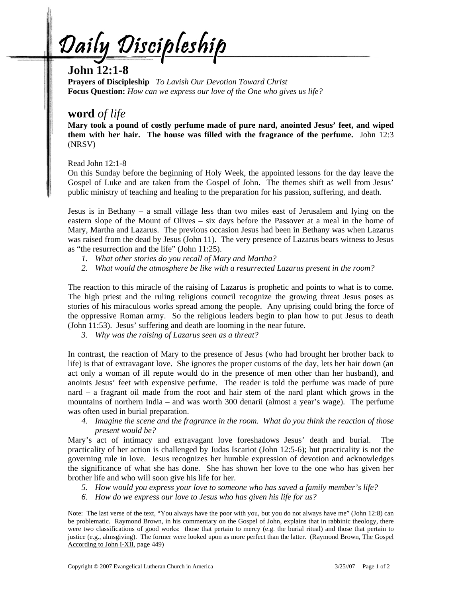<u>Daily Discipleship</u>

## **John 12:1-8**

**Prayers of Discipleship** *To Lavish Our Devotion Toward Christ*  **Focus Question:** *How can we express our love of the One who gives us life?* 

## **word** *of life*

**Mary took a pound of costly perfume made of pure nard, anointed Jesus' feet, and wiped them with her hair. The house was filled with the fragrance of the perfume.** John 12:3 (NRSV)

Read John 12:1-8

On this Sunday before the beginning of Holy Week, the appointed lessons for the day leave the Gospel of Luke and are taken from the Gospel of John. The themes shift as well from Jesus' public ministry of teaching and healing to the preparation for his passion, suffering, and death.

Jesus is in Bethany – a small village less than two miles east of Jerusalem and lying on the eastern slope of the Mount of Olives – six days before the Passover at a meal in the home of Mary, Martha and Lazarus. The previous occasion Jesus had been in Bethany was when Lazarus was raised from the dead by Jesus (John 11). The very presence of Lazarus bears witness to Jesus as "the resurrection and the life" (John 11:25).

- *1. What other stories do you recall of Mary and Martha?*
- *2. What would the atmosphere be like with a resurrected Lazarus present in the room?*

The reaction to this miracle of the raising of Lazarus is prophetic and points to what is to come. The high priest and the ruling religious council recognize the growing threat Jesus poses as stories of his miraculous works spread among the people. Any uprising could bring the force of the oppressive Roman army. So the religious leaders begin to plan how to put Jesus to death (John 11:53). Jesus' suffering and death are looming in the near future.

*3. Why was the raising of Lazarus seen as a threat?* 

In contrast, the reaction of Mary to the presence of Jesus (who had brought her brother back to life) is that of extravagant love. She ignores the proper customs of the day, lets her hair down (an act only a woman of ill repute would do in the presence of men other than her husband), and anoints Jesus' feet with expensive perfume. The reader is told the perfume was made of pure nard – a fragrant oil made from the root and hair stem of the nard plant which grows in the mountains of northern India – and was worth 300 denarii (almost a year's wage). The perfume was often used in burial preparation.

*4. Imagine the scene and the fragrance in the room. What do you think the reaction of those present would be?*

Mary's act of intimacy and extravagant love foreshadows Jesus' death and burial. The practicality of her action is challenged by Judas Iscariot (John 12:5-6); but practicality is not the governing rule in love. Jesus recognizes her humble expression of devotion and acknowledges the significance of what she has done. She has shown her love to the one who has given her brother life and who will soon give his life for her.

- *5. How would you express your love to someone who has saved a family member's life?*
- *6. How do we express our love to Jesus who has given his life for us?*

Note: The last verse of the text, "You always have the poor with you, but you do not always have me" (John 12:8) can be problematic. Raymond Brown, in his commentary on the Gospel of John, explains that in rabbinic theology, there were two classifications of good works: those that pertain to mercy (e.g. the burial ritual) and those that pertain to justice (e.g., almsgiving). The former were looked upon as more perfect than the latter. (Raymond Brown, The Gospel According to John I-XII, page 449)